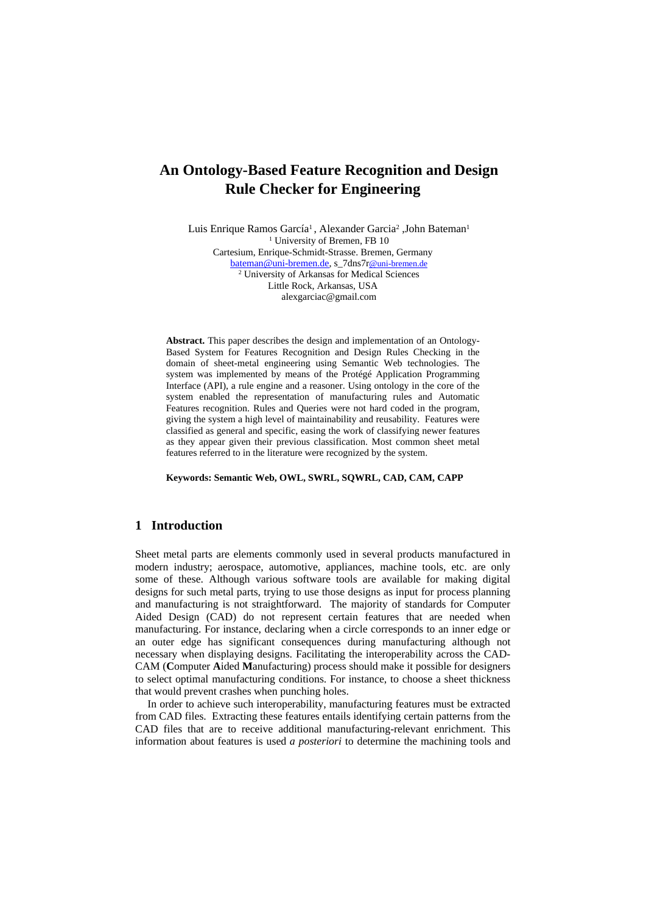# **An Ontology-Based Feature Recognition and Design Rule Checker for Engineering**

Luis Enrique Ramos García<sup>1</sup>, Alexander Garcia<sup>2</sup>, John Bateman<sup>1</sup> <sup>1</sup> University of Bremen, FB 10 Cartesium, Enrique-Schmidt-Strasse. Bremen, Germany bateman@uni-bremen.de, s\_7dns7r@uni-bremen.de 2 University of Arkansas for Medical Sciences Little Rock, Arkansas, USA alexgarciac@gmail.com

**Abstract.** This paper describes the design and implementation of an Ontology-Based System for Features Recognition and Design Rules Checking in the domain of sheet-metal engineering using Semantic Web technologies. The system was implemented by means of the Protégé Application Programming Interface (API), a rule engine and a reasoner. Using ontology in the core of the system enabled the representation of manufacturing rules and Automatic Features recognition. Rules and Queries were not hard coded in the program, giving the system a high level of maintainability and reusability. Features were classified as general and specific, easing the work of classifying newer features as they appear given their previous classification. Most common sheet metal features referred to in the literature were recognized by the system.

**Keywords: Semantic Web, OWL, SWRL, SQWRL, CAD, CAM, CAPP**

# **1 Introduction**

Sheet metal parts are elements commonly used in several products manufactured in modern industry; aerospace, automotive, appliances, machine tools, etc. are only some of these. Although various software tools are available for making digital designs for such metal parts, trying to use those designs as input for process planning and manufacturing is not straightforward. The majority of standards for Computer Aided Design (CAD) do not represent certain features that are needed when manufacturing. For instance, declaring when a circle corresponds to an inner edge or an outer edge has significant consequences during manufacturing although not necessary when displaying designs. Facilitating the interoperability across the CAD-CAM (**C**omputer **A**ided **M**anufacturing) process should make it possible for designers to select optimal manufacturing conditions. For instance, to choose a sheet thickness that would prevent crashes when punching holes.

In order to achieve such interoperability, manufacturing features must be extracted from CAD files. Extracting these features entails identifying certain patterns from the CAD files that are to receive additional manufacturing-relevant enrichment. This information about features is used *a posteriori* to determine the machining tools and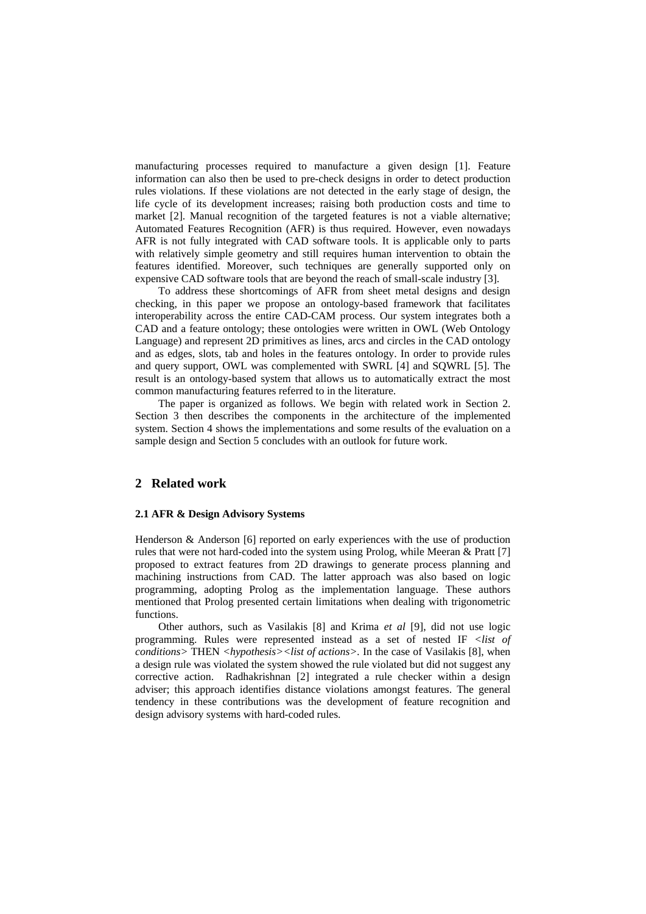manufacturing processes required to manufacture a given design [1]. Feature information can also then be used to pre-check designs in order to detect production rules violations. If these violations are not detected in the early stage of design, the life cycle of its development increases; raising both production costs and time to market [2]. Manual recognition of the targeted features is not a viable alternative; Automated Features Recognition (AFR) is thus required. However, even nowadays AFR is not fully integrated with CAD software tools. It is applicable only to parts with relatively simple geometry and still requires human intervention to obtain the features identified. Moreover, such techniques are generally supported only on expensive CAD software tools that are beyond the reach of small-scale industry [3].

To address these shortcomings of AFR from sheet metal designs and design checking, in this paper we propose an ontology-based framework that facilitates interoperability across the entire CAD-CAM process. Our system integrates both a CAD and a feature ontology; these ontologies were written in OWL (Web Ontology Language) and represent 2D primitives as lines, arcs and circles in the CAD ontology and as edges, slots, tab and holes in the features ontology. In order to provide rules and query support, OWL was complemented with SWRL [4] and SQWRL [5]. The result is an ontology-based system that allows us to automatically extract the most common manufacturing features referred to in the literature.

The paper is organized as follows. We begin with related work in Section 2. Section 3 then describes the components in the architecture of the implemented system. Section 4 shows the implementations and some results of the evaluation on a sample design and Section 5 concludes with an outlook for future work.

# **2 Related work**

#### **2.1 AFR & Design Advisory Systems**

Henderson & Anderson [6] reported on early experiences with the use of production rules that were not hard-coded into the system using Prolog, while Meeran & Pratt [7] proposed to extract features from 2D drawings to generate process planning and machining instructions from CAD. The latter approach was also based on logic programming, adopting Prolog as the implementation language. These authors mentioned that Prolog presented certain limitations when dealing with trigonometric functions.

Other authors, such as Vasilakis [8] and Krima *et al* [9], did not use logic programming. Rules were represented instead as a set of nested IF *<list of conditions>* THEN *<hypothesis><list of actions>.* In the case of Vasilakis [8], when a design rule was violated the system showed the rule violated but did not suggest any corrective action. Radhakrishnan [2] integrated a rule checker within a design adviser; this approach identifies distance violations amongst features. The general tendency in these contributions was the development of feature recognition and design advisory systems with hard-coded rules.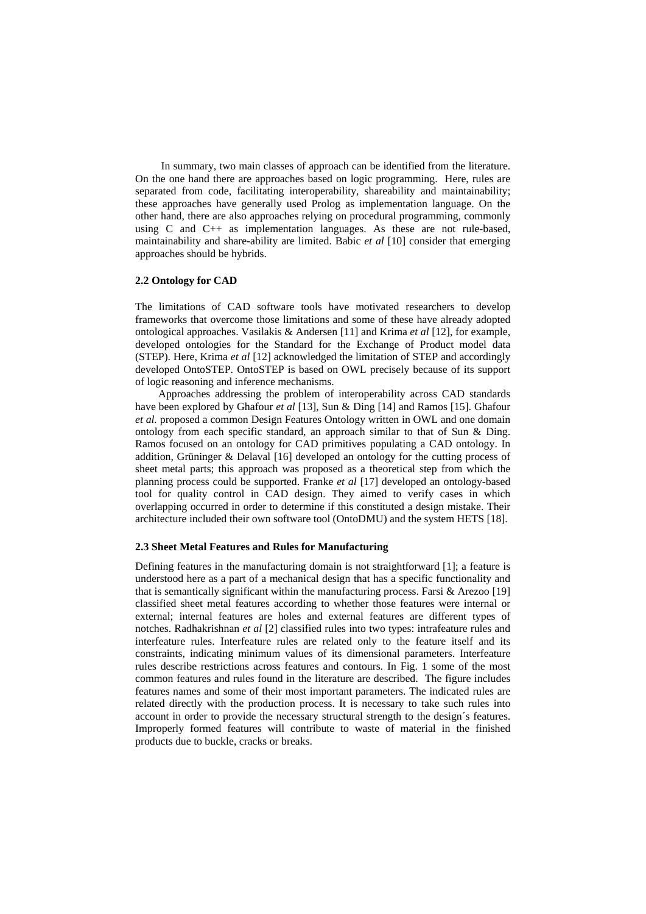In summary, two main classes of approach can be identified from the literature. On the one hand there are approaches based on logic programming. Here, rules are separated from code, facilitating interoperability, shareability and maintainability; these approaches have generally used Prolog as implementation language. On the other hand, there are also approaches relying on procedural programming, commonly using C and C++ as implementation languages. As these are not rule-based, maintainability and share-ability are limited. Babic *et al* [10] consider that emerging approaches should be hybrids.

## **2.2 Ontology for CAD**

The limitations of CAD software tools have motivated researchers to develop frameworks that overcome those limitations and some of these have already adopted ontological approaches. Vasilakis & Andersen [11] and Krima *et al* [12], for example, developed ontologies for the Standard for the Exchange of Product model data (STEP). Here, Krima *et al* [12] acknowledged the limitation of STEP and accordingly developed OntoSTEP. OntoSTEP is based on OWL precisely because of its support of logic reasoning and inference mechanisms.

Approaches addressing the problem of interoperability across CAD standards have been explored by Ghafour *et al* [13], Sun & Ding [14] and Ramos [15]. Ghafour *et al.* proposed a common Design Features Ontology written in OWL and one domain ontology from each specific standard, an approach similar to that of Sun & Ding. Ramos focused on an ontology for CAD primitives populating a CAD ontology. In addition, Grüninger & Delaval [16] developed an ontology for the cutting process of sheet metal parts; this approach was proposed as a theoretical step from which the planning process could be supported. Franke *et al* [17] developed an ontology-based tool for quality control in CAD design. They aimed to verify cases in which overlapping occurred in order to determine if this constituted a design mistake. Their architecture included their own software tool (OntoDMU) and the system HETS [18].

#### **2.3 Sheet Metal Features and Rules for Manufacturing**

Defining features in the manufacturing domain is not straightforward [1]; a feature is understood here as a part of a mechanical design that has a specific functionality and that is semantically significant within the manufacturing process. Farsi & Arezoo [19] classified sheet metal features according to whether those features were internal or external; internal features are holes and external features are different types of notches. Radhakrishnan *et al* [2] classified rules into two types: intrafeature rules and interfeature rules. Interfeature rules are related only to the feature itself and its constraints, indicating minimum values of its dimensional parameters. Interfeature rules describe restrictions across features and contours. In Fig. 1 some of the most common features and rules found in the literature are described. The figure includes features names and some of their most important parameters. The indicated rules are related directly with the production process. It is necessary to take such rules into account in order to provide the necessary structural strength to the design´s features. Improperly formed features will contribute to waste of material in the finished products due to buckle, cracks or breaks.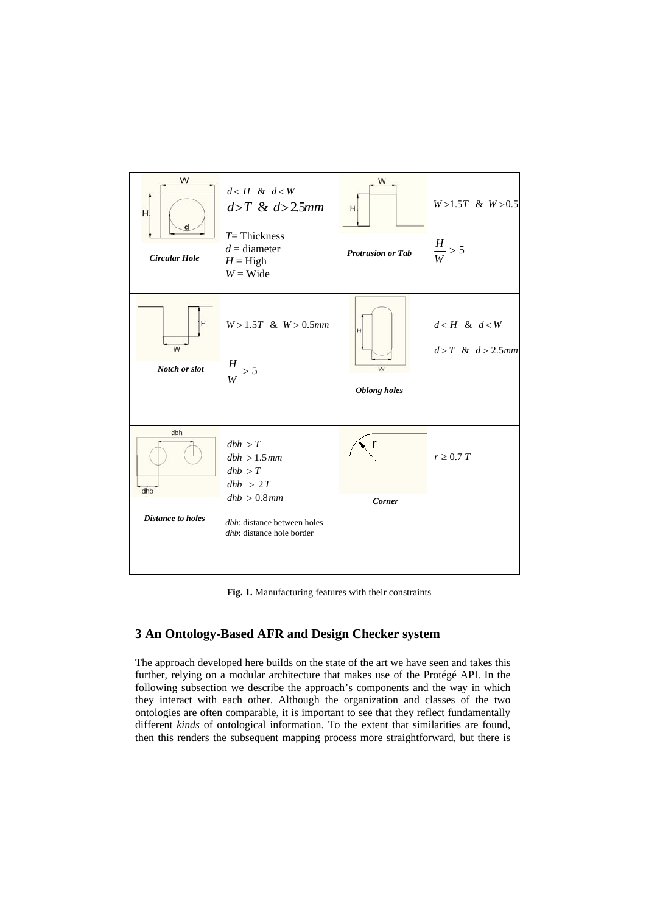

**Fig. 1.** Manufacturing features with their constraints

# **3 An Ontology-Based AFR and Design Checker system**

The approach developed here builds on the state of the art we have seen and takes this further, relying on a modular architecture that makes use of the Protégé API. In the following subsection we describe the approach's components and the way in which they interact with each other. Although the organization and classes of the two ontologies are often comparable, it is important to see that they reflect fundamentally different *kinds* of ontological information. To the extent that similarities are found, then this renders the subsequent mapping process more straightforward, but there is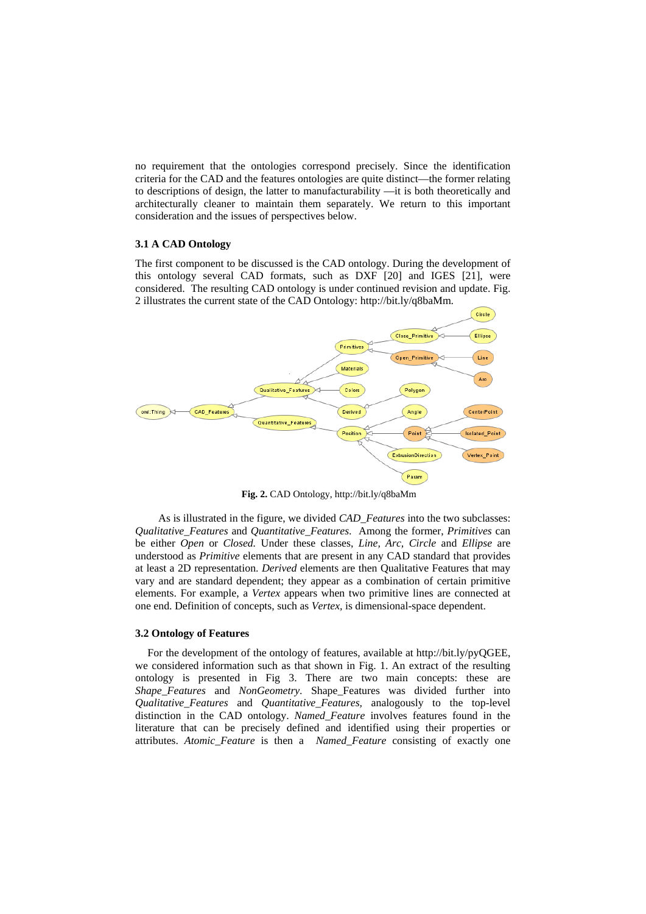no requirement that the ontologies correspond precisely. Since the identification criteria for the CAD and the features ontologies are quite distinct—the former relating to descriptions of design, the latter to manufacturability —it is both theoretically and architecturally cleaner to maintain them separately. We return to this important consideration and the issues of perspectives below.

#### **3.1 A CAD Ontology**

The first component to be discussed is the CAD ontology. During the development of this ontology several CAD formats, such as DXF [20] and IGES [21], were considered. The resulting CAD ontology is under continued revision and update. Fig. 2 illustrates the current state of the CAD Ontology: http://bit.ly/q8baMm.



**Fig. 2.** CAD Ontology, http://bit.ly/q8baMm

As is illustrated in the figure, we divided *CAD\_Features* into the two subclasses: *Qualitative\_Features* and *Quantitative\_Features*. Among the former, *Primitives* can be either *Open* or *Closed.* Under these classes, *Line, Arc, Circle* and *Ellipse* are understood as *Primitive* elements that are present in any CAD standard that provides at least a 2D representation. *Derived* elements are then Qualitative Features that may vary and are standard dependent; they appear as a combination of certain primitive elements. For example, a *Vertex* appears when two primitive lines are connected at one end. Definition of concepts, such as *Vertex,* is dimensional-space dependent.

## **3.2 Ontology of Features**

For the development of the ontology of features, available at http://bit.ly/pyQGEE, we considered information such as that shown in Fig. 1. An extract of the resulting ontology is presented in Fig 3. There are two main concepts: these are *Shape\_Features* and *NonGeometry*. Shape\_Features was divided further into *Qualitative\_Features* and *Quantitative\_Features,* analogously to the top-level distinction in the CAD ontology. *Named\_Feature* involves features found in the literature that can be precisely defined and identified using their properties or attributes. *Atomic\_Feature* is then a *Named\_Feature* consisting of exactly one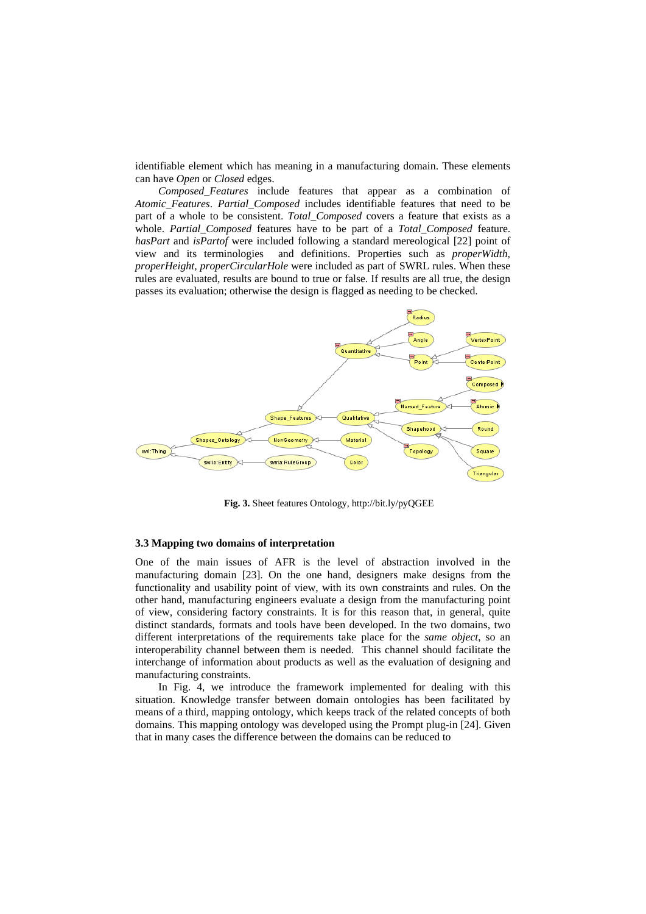identifiable element which has meaning in a manufacturing domain. These elements can have *Open* or *Closed* edges.

*Composed\_Features* include features that appear as a combination of *Atomic\_Features*. *Partial\_Composed* includes identifiable features that need to be part of a whole to be consistent. *Total\_Composed* covers a feature that exists as a whole. *Partial\_Composed* features have to be part of a *Total\_Composed* feature. *hasPart* and *isPartof* were included following a standard mereological [22] point of view and its terminologies and definitions. Properties such as *properWidth, properHeight, properCircularHole* were included as part of SWRL rules. When these rules are evaluated, results are bound to true or false. If results are all true, the design passes its evaluation; otherwise the design is flagged as needing to be checked.



**Fig. 3.** Sheet features Ontology, http://bit.ly/pyQGEE

#### **3.3 Mapping two domains of interpretation**

One of the main issues of AFR is the level of abstraction involved in the manufacturing domain [23]. On the one hand, designers make designs from the functionality and usability point of view, with its own constraints and rules. On the other hand, manufacturing engineers evaluate a design from the manufacturing point of view, considering factory constraints. It is for this reason that, in general, quite distinct standards, formats and tools have been developed. In the two domains, two different interpretations of the requirements take place for the *same object*, so an interoperability channel between them is needed. This channel should facilitate the interchange of information about products as well as the evaluation of designing and manufacturing constraints.

In Fig. 4, we introduce the framework implemented for dealing with this situation. Knowledge transfer between domain ontologies has been facilitated by means of a third, mapping ontology, which keeps track of the related concepts of both domains. This mapping ontology was developed using the Prompt plug-in [24]. Given that in many cases the difference between the domains can be reduced to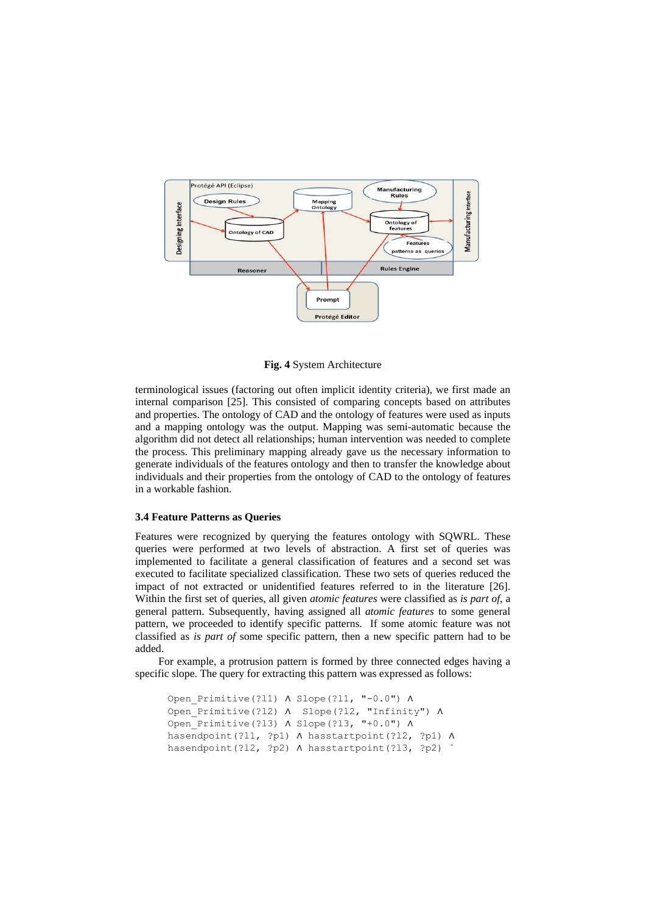

**Fig. 4** System Architecture

terminological issues (factoring out often implicit identity criteria), we first made an internal comparison [25]. This consisted of comparing concepts based on attributes and properties. The ontology of CAD and the ontology of features were used as inputs and a mapping ontology was the output. Mapping was semi-automatic because the algorithm did not detect all relationships; human intervention was needed to complete the process. This preliminary mapping already gave us the necessary information to generate individuals of the features ontology and then to transfer the knowledge about individuals and their properties from the ontology of CAD to the ontology of features in a workable fashion.

#### **3.4 Feature Patterns as Queries**

Features were recognized by querying the features ontology with SQWRL. These queries were performed at two levels of abstraction. A first set of queries was implemented to facilitate a general classification of features and a second set was executed to facilitate specialized classification. These two sets of queries reduced the impact of not extracted or unidentified features referred to in the literature [26]. Within the first set of queries, all given *atomic features* were classified as *is part of,* a general pattern. Subsequently, having assigned all *atomic features* to some general pattern, we proceeded to identify specific patterns. If some atomic feature was not classified as *is part of* some specific pattern, then a new specific pattern had to be added.

For example, a protrusion pattern is formed by three connected edges having a specific slope. The query for extracting this pattern was expressed as follows:

```
Open_Primitive(?l1) ∧ Slope(?l1, "-0.0") ∧ 
Open_Primitive(?l2) ∧ Slope(?l2, "Infinity") ∧
Open_Primitive(?l3) ∧ Slope(?l3, "+0.0") ∧ 
hasendpoint(?l1, ?p1) ∧ hasstartpoint(?l2, ?p1) ∧
hasendpoint(?12, ?p2) ∧ hasstartpoint(?13, ?p2)
```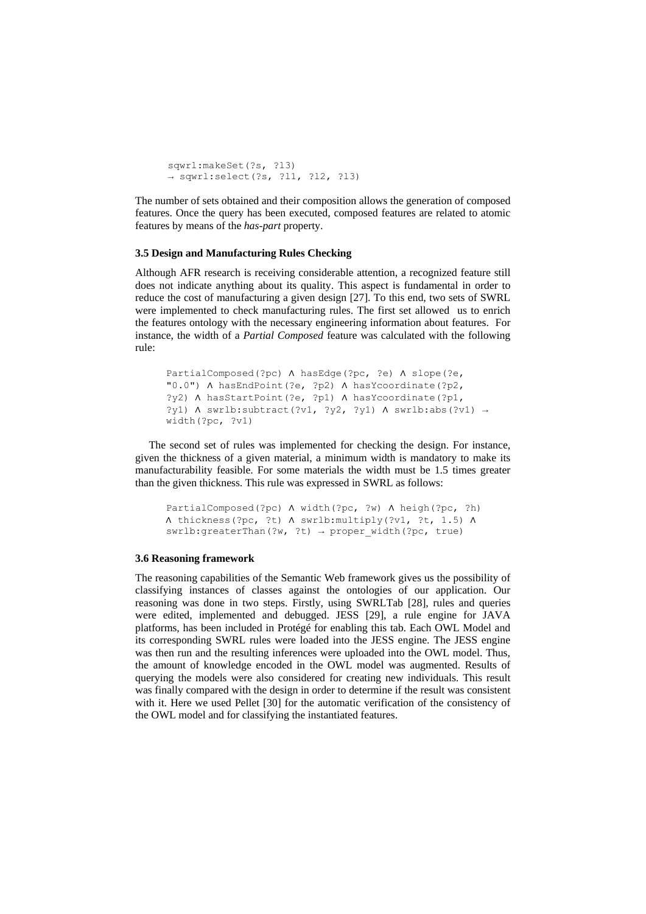```
sqwrl:makeSet(?s, ?l3) 
→ sqwrl:select(?s, ?l1, ?l2, ?l3)
```
The number of sets obtained and their composition allows the generation of composed features. Once the query has been executed, composed features are related to atomic features by means of the *has-part* property.

#### **3.5 Design and Manufacturing Rules Checking**

Although AFR research is receiving considerable attention, a recognized feature still does not indicate anything about its quality. This aspect is fundamental in order to reduce the cost of manufacturing a given design [27]. To this end, two sets of SWRL were implemented to check manufacturing rules. The first set allowed us to enrich the features ontology with the necessary engineering information about features. For instance, the width of a *Partial Composed* feature was calculated with the following rule:

```
PartialComposed(?pc) ∧ hasEdge(?pc, ?e) ∧ slope(?e, 
"0.0") ∧ hasEndPoint(?e, ?p2) ∧ hasYcoordinate(?p2, 
?y2) ∧ hasStartPoint(?e, ?p1) ∧ hasYcoordinate(?p1, 
?y1) ∧ swrlb:subtract(?v1, ?y2, ?y1) ∧ swrlb:abs(?v1) →
width(?pc, ?v1)
```
 The second set of rules was implemented for checking the design. For instance, given the thickness of a given material, a minimum width is mandatory to make its manufacturability feasible. For some materials the width must be 1.5 times greater than the given thickness. This rule was expressed in SWRL as follows:

```
PartialComposed(?pc) ∧ width(?pc, ?w) ∧ heigh(?pc, ?h) 
∧ thickness(?pc, ?t) ∧ swrlb:multiply(?v1, ?t, 1.5) ∧
swrlb:greaterThan(?w, ?t) \rightarrow proper width(?pc, true)
```
#### **3.6 Reasoning framework**

The reasoning capabilities of the Semantic Web framework gives us the possibility of classifying instances of classes against the ontologies of our application. Our reasoning was done in two steps. Firstly, using SWRLTab [28], rules and queries were edited, implemented and debugged. JESS [29], a rule engine for JAVA platforms, has been included in Protégé for enabling this tab. Each OWL Model and its corresponding SWRL rules were loaded into the JESS engine. The JESS engine was then run and the resulting inferences were uploaded into the OWL model. Thus, the amount of knowledge encoded in the OWL model was augmented. Results of querying the models were also considered for creating new individuals. This result was finally compared with the design in order to determine if the result was consistent with it. Here we used Pellet [30] for the automatic verification of the consistency of the OWL model and for classifying the instantiated features.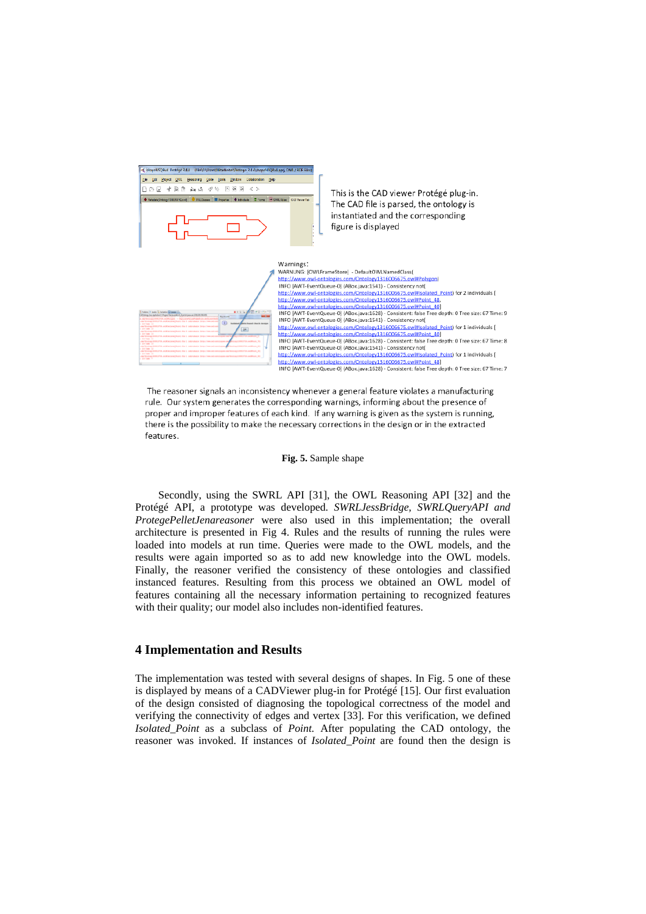

The reasoner signals an inconsistency whenever a general feature violates a manufacturing rule. Our system generates the corresponding warnings, informing about the presence of proper and improper features of each kind. If any warning is given as the system is running, there is the possibility to make the necessary corrections in the design or in the extracted features.

#### **Fig. 5.** Sample shape

Secondly, using the SWRL API [31], the OWL Reasoning API [32] and the Protégé API, a prototype was developed. *SWRLJessBridge, SWRLQueryAPI and ProtegePelletJenareasoner* were also used in this implementation; the overall architecture is presented in Fig 4. Rules and the results of running the rules were loaded into models at run time. Queries were made to the OWL models, and the results were again imported so as to add new knowledge into the OWL models. Finally, the reasoner verified the consistency of these ontologies and classified instanced features. Resulting from this process we obtained an OWL model of features containing all the necessary information pertaining to recognized features with their quality; our model also includes non-identified features.

### **4 Implementation and Results**

The implementation was tested with several designs of shapes. In Fig. 5 one of these is displayed by means of a CADViewer plug-in for Protégé [15]. Our first evaluation of the design consisted of diagnosing the topological correctness of the model and verifying the connectivity of edges and vertex [33]. For this verification, we defined *Isolated\_Point* as a subclass of *Point.* After populating the CAD ontology, the reasoner was invoked. If instances of *Isolated\_Point* are found then the design is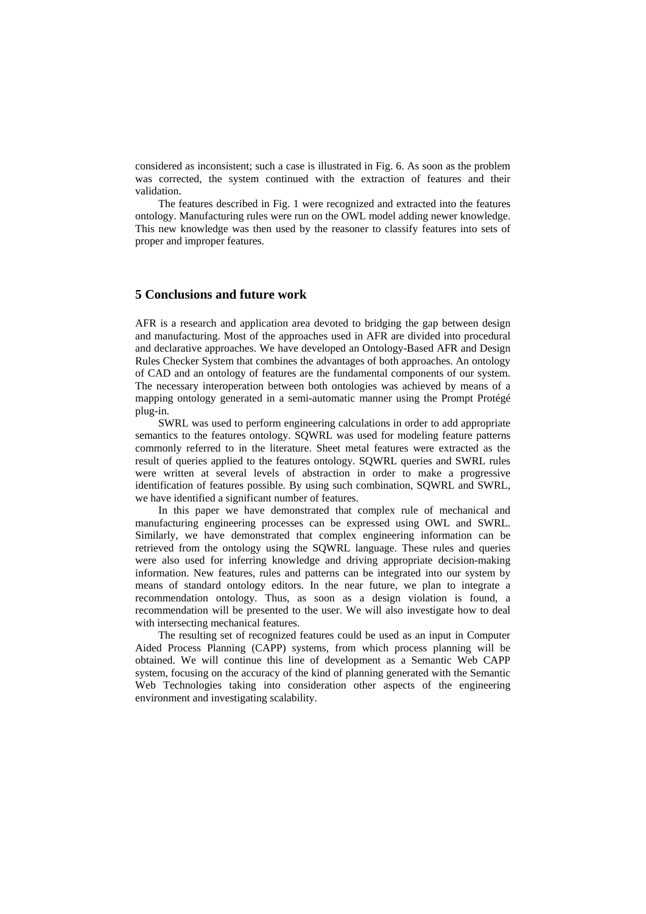considered as inconsistent; such a case is illustrated in Fig. 6. As soon as the problem was corrected, the system continued with the extraction of features and their validation.

The features described in Fig. 1 were recognized and extracted into the features ontology. Manufacturing rules were run on the OWL model adding newer knowledge. This new knowledge was then used by the reasoner to classify features into sets of proper and improper features.

# **5 Conclusions and future work**

AFR is a research and application area devoted to bridging the gap between design and manufacturing. Most of the approaches used in AFR are divided into procedural and declarative approaches. We have developed an Ontology-Based AFR and Design Rules Checker System that combines the advantages of both approaches. An ontology of CAD and an ontology of features are the fundamental components of our system. The necessary interoperation between both ontologies was achieved by means of a mapping ontology generated in a semi-automatic manner using the Prompt Protégé plug-in.

SWRL was used to perform engineering calculations in order to add appropriate semantics to the features ontology. SQWRL was used for modeling feature patterns commonly referred to in the literature. Sheet metal features were extracted as the result of queries applied to the features ontology. SQWRL queries and SWRL rules were written at several levels of abstraction in order to make a progressive identification of features possible. By using such combination, SQWRL and SWRL, we have identified a significant number of features.

In this paper we have demonstrated that complex rule of mechanical and manufacturing engineering processes can be expressed using OWL and SWRL. Similarly, we have demonstrated that complex engineering information can be retrieved from the ontology using the SQWRL language. These rules and queries were also used for inferring knowledge and driving appropriate decision-making information. New features, rules and patterns can be integrated into our system by means of standard ontology editors. In the near future, we plan to integrate a recommendation ontology. Thus, as soon as a design violation is found, a recommendation will be presented to the user. We will also investigate how to deal with intersecting mechanical features.

The resulting set of recognized features could be used as an input in Computer Aided Process Planning (CAPP) systems, from which process planning will be obtained. We will continue this line of development as a Semantic Web CAPP system, focusing on the accuracy of the kind of planning generated with the Semantic Web Technologies taking into consideration other aspects of the engineering environment and investigating scalability.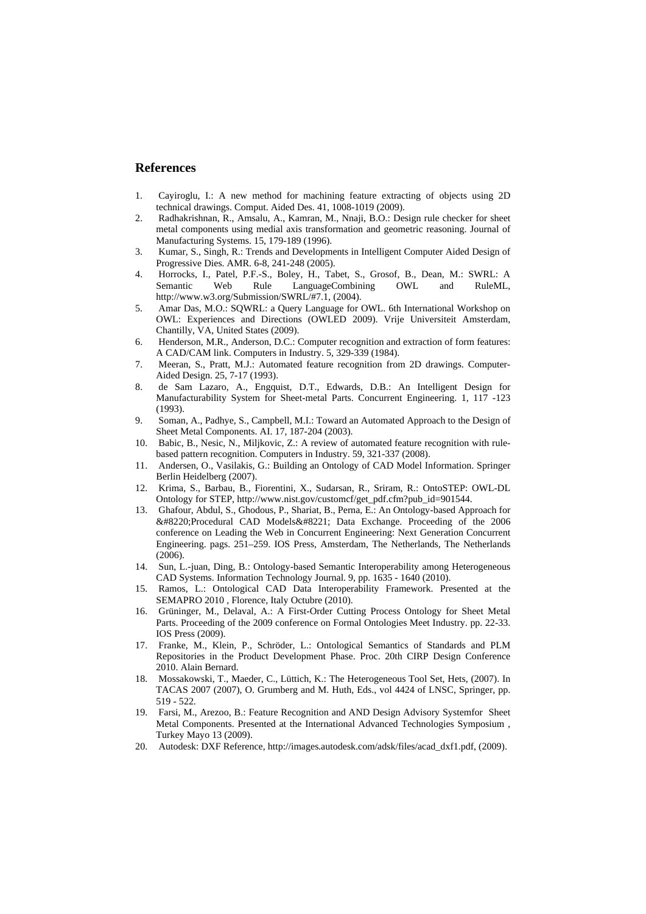## **References**

- 1. Cayiroglu, I.: A new method for machining feature extracting of objects using 2D technical drawings. Comput. Aided Des. 41, 1008-1019 (2009).
- 2. Radhakrishnan, R., Amsalu, A., Kamran, M., Nnaji, B.O.: Design rule checker for sheet metal components using medial axis transformation and geometric reasoning. Journal of Manufacturing Systems. 15, 179-189 (1996).
- 3. Kumar, S., Singh, R.: Trends and Developments in Intelligent Computer Aided Design of Progressive Dies. AMR. 6-8, 241-248 (2005).
- 4. Horrocks, I., Patel, P.F.-S., Boley, H., Tabet, S., Grosof, B., Dean, M.: SWRL: A Semantic Web Rule LanguageCombining OWL and RuleML, http://www.w3.org/Submission/SWRL/#7.1, (2004).
- 5. Amar Das, M.O.: SQWRL: a Query Language for OWL. 6th International Workshop on OWL: Experiences and Directions (OWLED 2009). Vrije Universiteit Amsterdam, Chantilly, VA, United States (2009).
- 6. Henderson, M.R., Anderson, D.C.: Computer recognition and extraction of form features: A CAD/CAM link. Computers in Industry. 5, 329-339 (1984).
- 7. Meeran, S., Pratt, M.J.: Automated feature recognition from 2D drawings. Computer-Aided Design. 25, 7-17 (1993).
- 8. de Sam Lazaro, A., Engquist, D.T., Edwards, D.B.: An Intelligent Design for Manufacturability System for Sheet-metal Parts. Concurrent Engineering. 1, 117 -123 (1993).
- 9. Soman, A., Padhye, S., Campbell, M.I.: Toward an Automated Approach to the Design of Sheet Metal Components. AI. 17, 187-204 (2003).
- 10. Babic, B., Nesic, N., Miljkovic, Z.: A review of automated feature recognition with rulebased pattern recognition. Computers in Industry. 59, 321-337 (2008).
- 11. Andersen, O., Vasilakis, G.: Building an Ontology of CAD Model Information. Springer Berlin Heidelberg (2007).
- 12. Krima, S., Barbau, B., Fiorentini, X., Sudarsan, R., Sriram, R.: OntoSTEP: OWL-DL Ontology for STEP, http://www.nist.gov/customcf/get\_pdf.cfm?pub\_id=901544.
- 13. Ghafour, Abdul, S., Ghodous, P., Shariat, B., Perna, E.: An Ontology-based Approach for "Procedural CAD Models" Data Exchange. Proceeding of the 2006 conference on Leading the Web in Concurrent Engineering: Next Generation Concurrent Engineering. pags. 251–259. IOS Press, Amsterdam, The Netherlands, The Netherlands  $(2006)$
- 14. Sun, L.-juan, Ding, B.: Ontology-based Semantic Interoperability among Heterogeneous CAD Systems. Information Technology Journal. 9, pp. 1635 - 1640 (2010).
- 15. Ramos, L.: Ontological CAD Data Interoperability Framework. Presented at the SEMAPRO 2010 , Florence, Italy Octubre (2010).
- 16. Grüninger, M., Delaval, A.: A First-Order Cutting Process Ontology for Sheet Metal Parts. Proceeding of the 2009 conference on Formal Ontologies Meet Industry. pp. 22-33. IOS Press (2009).
- 17. Franke, M., Klein, P., Schröder, L.: Ontological Semantics of Standards and PLM Repositories in the Product Development Phase. Proc. 20th CIRP Design Conference 2010. Alain Bernard.
- 18. Mossakowski, T., Maeder, C., Lüttich, K.: The Heterogeneous Tool Set, Hets, (2007). In TACAS 2007 (2007), O. Grumberg and M. Huth, Eds., vol 4424 of LNSC, Springer, pp. 519 - 522.
- 19. Farsi, M., Arezoo, B.: Feature Recognition and AND Design Advisory Systemfor Sheet Metal Components. Presented at the International Advanced Technologies Symposium , Turkey Mayo 13 (2009).
- 20. Autodesk: DXF Reference, http://images.autodesk.com/adsk/files/acad\_dxf1.pdf, (2009).